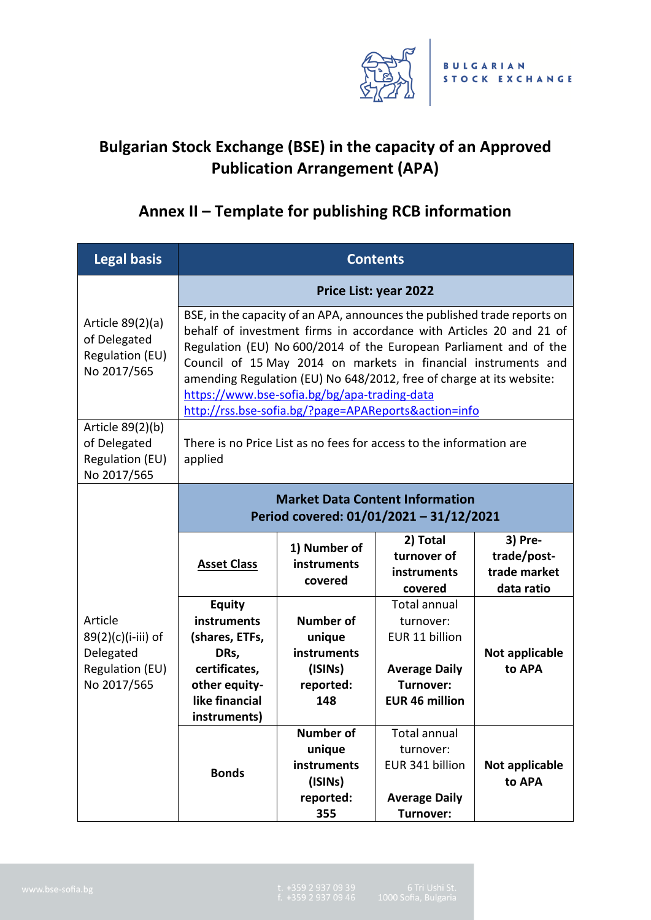

## **Bulgarian Stock Exchange (BSE) in the capacity of an Approved Publication Arrangement (APA)**

## **Annex II – Template for publishing RCB information**

| <b>Legal basis</b>                                                           | <b>Contents</b>                                                                                                                                                                                                                                                                                                                                                                                                                                                        |                                                                                 |                                                                                                                         |                                                      |  |  |
|------------------------------------------------------------------------------|------------------------------------------------------------------------------------------------------------------------------------------------------------------------------------------------------------------------------------------------------------------------------------------------------------------------------------------------------------------------------------------------------------------------------------------------------------------------|---------------------------------------------------------------------------------|-------------------------------------------------------------------------------------------------------------------------|------------------------------------------------------|--|--|
|                                                                              | <b>Price List: year 2022</b>                                                                                                                                                                                                                                                                                                                                                                                                                                           |                                                                                 |                                                                                                                         |                                                      |  |  |
| Article 89(2)(a)<br>of Delegated<br><b>Regulation (EU)</b><br>No 2017/565    | BSE, in the capacity of an APA, announces the published trade reports on<br>behalf of investment firms in accordance with Articles 20 and 21 of<br>Regulation (EU) No 600/2014 of the European Parliament and of the<br>Council of 15 May 2014 on markets in financial instruments and<br>amending Regulation (EU) No 648/2012, free of charge at its website:<br>https://www.bse-sofia.bg/bg/apa-trading-data<br>http://rss.bse-sofia.bg/?page=APAReports&action=info |                                                                                 |                                                                                                                         |                                                      |  |  |
| Article 89(2)(b)<br>of Delegated<br>Regulation (EU)<br>No 2017/565           | There is no Price List as no fees for access to the information are<br>applied                                                                                                                                                                                                                                                                                                                                                                                         |                                                                                 |                                                                                                                         |                                                      |  |  |
| Article<br>89(2)(c)(i-iii) of<br>Delegated<br>Regulation (EU)<br>No 2017/565 | <b>Market Data Content Information</b><br>Period covered: 01/01/2021 - 31/12/2021                                                                                                                                                                                                                                                                                                                                                                                      |                                                                                 |                                                                                                                         |                                                      |  |  |
|                                                                              | <b>Asset Class</b>                                                                                                                                                                                                                                                                                                                                                                                                                                                     | 1) Number of<br>instruments<br>covered                                          | 2) Total<br>turnover of<br>instruments<br>covered                                                                       | 3) Pre-<br>trade/post-<br>trade market<br>data ratio |  |  |
|                                                                              | <b>Equity</b><br>instruments<br>(shares, ETFs,<br>DRs,<br>certificates,<br>other equity-<br>like financial<br>instruments)                                                                                                                                                                                                                                                                                                                                             | <b>Number of</b><br>unique<br><b>instruments</b><br>(ISINs)<br>reported:<br>148 | <b>Total annual</b><br>turnover:<br>EUR 11 billion<br><b>Average Daily</b><br><b>Turnover:</b><br><b>EUR 46 million</b> | Not applicable<br>to APA                             |  |  |
|                                                                              | <b>Bonds</b>                                                                                                                                                                                                                                                                                                                                                                                                                                                           | <b>Number of</b><br>unique<br>instruments<br>(ISINs)<br>reported:<br>355        | Total annual<br>turnover:<br>EUR 341 billion<br><b>Average Daily</b><br>Turnover:                                       | Not applicable<br>to APA                             |  |  |